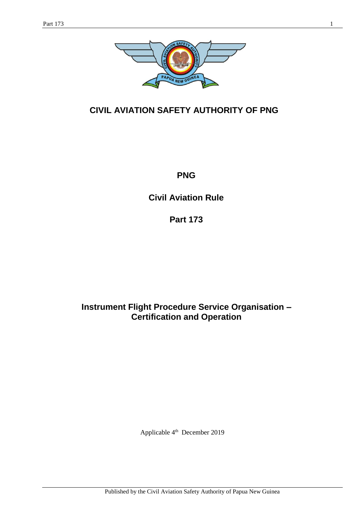

# **CIVIL AVIATION SAFETY AUTHORITY OF PNG**

**PNG**

**Civil Aviation Rule**

**Part 173**

**Instrument Flight Procedure Service Organisation – Certification and Operation**

Applicable 4<sup>th</sup> December 2019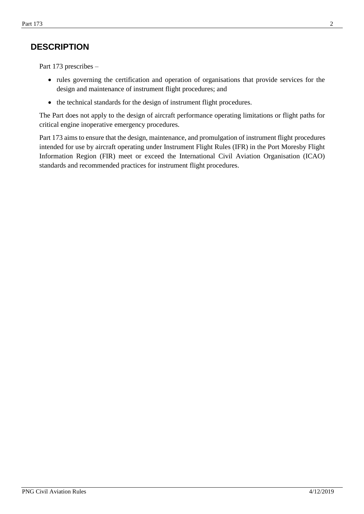## **DESCRIPTION**

Part 173 prescribes –

- rules governing the certification and operation of organisations that provide services for the design and maintenance of instrument flight procedures; and
- the technical standards for the design of instrument flight procedures.

The Part does not apply to the design of aircraft performance operating limitations or flight paths for critical engine inoperative emergency procedures.

Part 173 aims to ensure that the design, maintenance, and promulgation of instrument flight procedures intended for use by aircraft operating under Instrument Flight Rules (IFR) in the Port Moresby Flight Information Region (FIR) meet or exceed the International Civil Aviation Organisation (ICAO) standards and recommended practices for instrument flight procedures.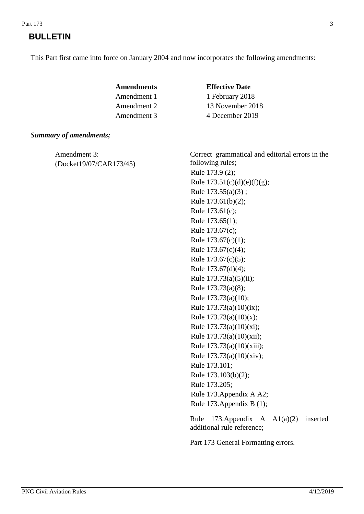## **BULLETIN**

This Part first came into force on January 2004 and now incorporates the following amendments:

| Amendments  | <b>Effective Date</b> |
|-------------|-----------------------|
| Amendment 1 | 1 February 2018       |
| Amendment 2 | 13 November 2018      |
| Amendment 3 | 4 December 2019       |

#### *Summary of amendments;*

(Docket19/07/CAR173/45)

Amendment 3: Correct grammatical and editorial errors in the following rules; Rule 173.9 (2); Rule  $173.51(c)(d)(e)(f)(g);$ Rule  $173.55(a)(3)$ ; Rule 173.61(b)(2); Rule 173.61(c); Rule 173.65(1); Rule 173.67(c); Rule 173.67(c)(1); Rule 173.67(c)(4); Rule 173.67(c)(5); Rule 173.67(d)(4); Rule 173.73(a)(5)(ii); Rule 173.73(a)(8); Rule 173.73(a)(10); Rule 173.73(a)(10)(ix); Rule 173.73(a)(10)(x); Rule 173.73(a)(10)(xi); Rule 173.73(a)(10)(xii); Rule 173.73(a)(10)(xiii); Rule 173.73(a)(10)(xiv); Rule 173.101; Rule 173.103(b)(2); Rule 173.205; Rule 173.Appendix A A2; Rule 173.Appendix B (1);

Rule 173.Appendix A A1(a)(2) inserted additional rule reference;

Part 173 General Formatting errors.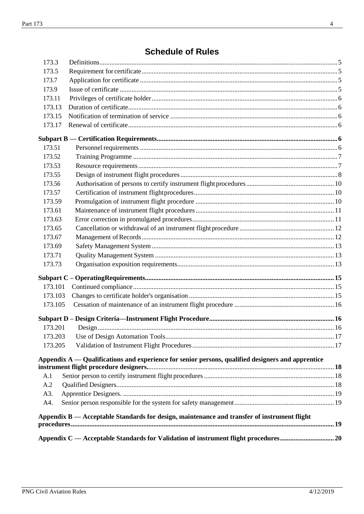# **Schedule of Rules**

|         | Appendix B — Acceptable Standards for design, maintenance and transfer of instrument flight         |  |
|---------|-----------------------------------------------------------------------------------------------------|--|
| A4.     |                                                                                                     |  |
| A3.     |                                                                                                     |  |
| A.2     |                                                                                                     |  |
| A.1     |                                                                                                     |  |
|         |                                                                                                     |  |
|         | Appendix $A -$ Qualifications and experience for senior persons, qualified designers and apprentice |  |
| 173.205 |                                                                                                     |  |
| 173.203 |                                                                                                     |  |
| 173.201 |                                                                                                     |  |
|         |                                                                                                     |  |
|         |                                                                                                     |  |
| 173.105 |                                                                                                     |  |
| 173.103 |                                                                                                     |  |
| 173.101 |                                                                                                     |  |
|         |                                                                                                     |  |
| 173.73  |                                                                                                     |  |
| 173.71  |                                                                                                     |  |
| 173.69  |                                                                                                     |  |
| 173.67  |                                                                                                     |  |
| 173.65  |                                                                                                     |  |
| 173.63  |                                                                                                     |  |
| 173.61  |                                                                                                     |  |
| 173.59  |                                                                                                     |  |
| 173.57  |                                                                                                     |  |
| 173.56  |                                                                                                     |  |
| 173.55  |                                                                                                     |  |
| 173.53  |                                                                                                     |  |
| 173.52  |                                                                                                     |  |
| 173.51  |                                                                                                     |  |
|         |                                                                                                     |  |
| 173.17  |                                                                                                     |  |
| 173.15  |                                                                                                     |  |
| 173.13  |                                                                                                     |  |
| 173.11  |                                                                                                     |  |
| 173.9   |                                                                                                     |  |
| 173.7   |                                                                                                     |  |
| 173.5   |                                                                                                     |  |
| 173.3   |                                                                                                     |  |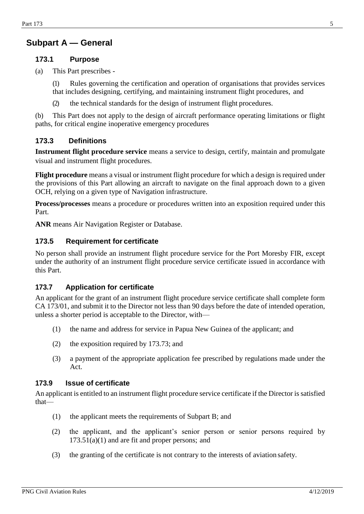## **Subpart A — General**

### **173.1 Purpose**

(a) This Part prescribes -

(1) Rules governing the certification and operation of organisations that provides services that includes designing, certifying, and maintaining instrument flight procedures, and

(2) the technical standards for the design of instrument flight procedures.

(b) This Part does not apply to the design of aircraft performance operating limitations or flight paths, for critical engine inoperative emergency procedures

### <span id="page-4-0"></span>**173.3 Definitions**

**Instrument flight procedure service** means a service to design, certify, maintain and promulgate visual and instrument flight procedures.

**Flight procedure** means a visual or instrument flight procedure for which a design is required under the provisions of this Part allowing an aircraft to navigate on the final approach down to a given OCH, relying on a given type of Navigation infrastructure.

**Process/processes** means a procedure or procedures written into an exposition required under this Part.

**ANR** means Air Navigation Register or Database.

#### <span id="page-4-1"></span>**173.5 Requirement for certificate**

No person shall provide an instrument flight procedure service for the Port Moresby FIR, except under the authority of an instrument flight procedure service certificate issued in accordance with this Part.

#### <span id="page-4-2"></span>**173.7 Application for certificate**

An applicant for the grant of an instrument flight procedure service certificate shall complete form CA 173/01, and submit it to the Director not less than 90 days before the date of intended operation, unless a shorter period is acceptable to the Director, with—

- (1) the name and address for service in Papua New Guinea of the applicant; and
- (2) the exposition required by 173.73; and
- (3) a payment of the appropriate application fee prescribed by regulations made under the Act.

#### <span id="page-4-3"></span>**173.9 Issue of certificate**

An applicant is entitled to an instrument flight procedure service certificate if the Director is satisfied that—

- (1) the applicant meets the requirements of Subpart B; and
- (2) the applicant, and the applicant's senior person or senior persons required by  $173.51(a)(1)$  and are fit and proper persons; and
- (3) the granting of the certificate is not contrary to the interests of aviation safety.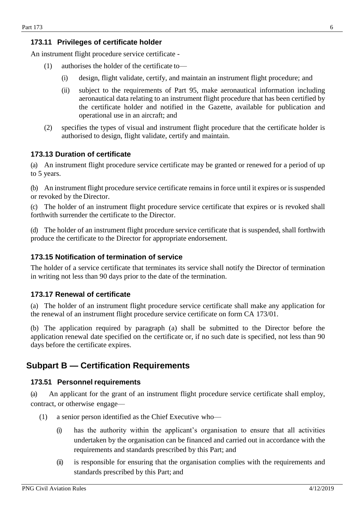### <span id="page-5-0"></span>**173.11 Privileges of certificate holder**

An instrument flight procedure service certificate -

- (1) authorises the holder of the certificate to—
	- (i) design, flight validate, certify, and maintain an instrument flight procedure; and
	- (ii) subject to the requirements of Part 95, make aeronautical information including aeronautical data relating to an instrument flight procedure that has been certified by the certificate holder and notified in the Gazette, available for publication and operational use in an aircraft; and
- (2) specifies the types of visual and instrument flight procedure that the certificate holder is authorised to design, flight validate, certify and maintain.

### <span id="page-5-1"></span>**173.13 Duration of certificate**

(a) An instrument flight procedure service certificate may be granted or renewed for a period of up to 5 years.

(b) An instrument flight procedure service certificate remains in force until it expires or is suspended or revoked by the Director.

(c) The holder of an instrument flight procedure service certificate that expires or is revoked shall forthwith surrender the certificate to the Director.

(d) The holder of an instrument flight procedure service certificate that is suspended, shall forthwith produce the certificate to the Director for appropriate endorsement.

#### <span id="page-5-2"></span>**173.15 Notification of termination of service**

The holder of a service certificate that terminates its service shall notify the Director of termination in writing not less than 90 days prior to the date of the termination.

### <span id="page-5-3"></span>**173.17 Renewal of certificate**

(a) The holder of an instrument flight procedure service certificate shall make any application for the renewal of an instrument flight procedure service certificate on form CA 173/01.

(b) The application required by paragraph (a) shall be submitted to the Director before the application renewal date specified on the certificate or, if no such date is specified, not less than 90 days before the certificate expires.

## <span id="page-5-5"></span><span id="page-5-4"></span>**Subpart B — Certification Requirements**

#### **173.51 Personnel requirements**

(a) An applicant for the grant of an instrument flight procedure service certificate shall employ, contract, or otherwise engage—

- (1) a senior person identified as the Chief Executive who—
	- (i) has the authority within the applicant's organisation to ensure that all activities undertaken by the organisation can be financed and carried out in accordance with the requirements and standards prescribed by this Part; and
	- (ii) is responsible for ensuring that the organisation complies with the requirements and standards prescribed by this Part; and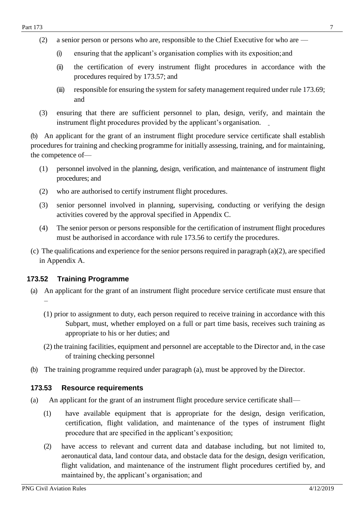- (i) ensuring that the applicant's organisation complies with its exposition;and
- (ii) the certification of every instrument flight procedures in accordance with the procedures required by 173.57; and
- (iii) responsible for ensuring the system for safety management required under rule 173.69; and
- (3) ensuring that there are sufficient personnel to plan, design, verify, and maintain the instrument flight procedures provided by the applicant's organisation.

(b) An applicant for the grant of an instrument flight procedure service certificate shall establish procedures for training and checking programme for initially assessing, training, and for maintaining, the competence of—

- (1) personnel involved in the planning, design, verification, and maintenance of instrument flight procedures; and
- (2) who are authorised to certify instrument flight procedures.
- (3) senior personnel involved in planning, supervising, conducting or verifying the design activities covered by the approval specified in Appendix C.
- (4) The senior person or persons responsible for the certification of instrument flight procedures must be authorised in accordance with rule 173.56 to certify the procedures.
- (c) The qualifications and experience for the senior persons required in paragraph (a)(2), are specified in Appendix A.

## <span id="page-6-0"></span>**173.52 Training Programme**

- (a) An applicant for the grant of an instrument flight procedure service certificate must ensure that –
	- (1) prior to assignment to duty, each person required to receive training in accordance with this Subpart, must, whether employed on a full or part time basis, receives such training as appropriate to his or her duties; and
	- (2) the training facilities, equipment and personnel are acceptable to the Director and, in the case of training checking personnel
- (b) The training programme required under paragraph (a), must be approved by the Director.

## <span id="page-6-1"></span>**173.53 Resource requirements**

- (a) An applicant for the grant of an instrument flight procedure service certificate shall—
	- (1) have available equipment that is appropriate for the design, design verification, certification, flight validation, and maintenance of the types of instrument flight procedure that are specified in the applicant's exposition;
	- (2) have access to relevant and current data and database including, but not limited to, aeronautical data, land contour data, and obstacle data for the design, design verification, flight validation, and maintenance of the instrument flight procedures certified by, and maintained by, the applicant's organisation; and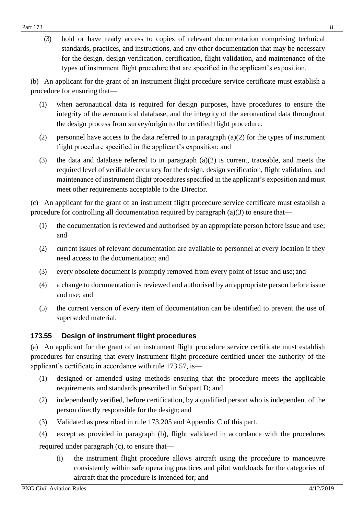(3) hold or have ready access to copies of relevant documentation comprising technical standards, practices, and instructions, and any other documentation that may be necessary for the design, design verification, certification, flight validation, and maintenance of the types of instrument flight procedure that are specified in the applicant's exposition.

(b) An applicant for the grant of an instrument flight procedure service certificate must establish a procedure for ensuring that—

- (1) when aeronautical data is required for design purposes, have procedures to ensure the integrity of the aeronautical database, and the integrity of the aeronautical data throughout the design process from survey/origin to the certified flight procedure.
- (2) personnel have access to the data referred to in paragraph  $(a)(2)$  for the types of instrument flight procedure specified in the applicant's exposition; and
- (3) the data and database referred to in paragraph (a)(2) is current, traceable, and meets the required level of verifiable accuracy for the design, design verification, flight validation, and maintenance of instrument flight procedures specified in the applicant's exposition and must meet other requirements acceptable to the Director.

(c) An applicant for the grant of an instrument flight procedure service certificate must establish a procedure for controlling all documentation required by paragraph (a)(3) to ensure that—

- (1) the documentation is reviewed and authorised by an appropriate person before issue and use; and
- (2) current issues of relevant documentation are available to personnel at every location if they need access to the documentation; and
- (3) every obsolete document is promptly removed from every point of issue and use; and
- (4) a change to documentation is reviewed and authorised by an appropriate person before issue and use; and
- (5) the current version of every item of documentation can be identified to prevent the use of superseded material.

## <span id="page-7-0"></span>**173.55 Design of instrument flight procedures**

(a) An applicant for the grant of an instrument flight procedure service certificate must establish procedures for ensuring that every instrument flight procedure certified under the authority of the applicant's certificate in accordance with rule 173.57, is—

- (1) designed or amended using methods ensuring that the procedure meets the applicable requirements and standards prescribed in Subpart D; and
- (2) independently verified, before certification, by a qualified person who is independent of the person directly responsible for the design; and
- (3) Validated as prescribed in rule 173.205 and Appendix C of this part.
- (4) except as provided in paragraph (b), flight validated in accordance with the procedures required under paragraph (c), to ensure that—
	- (i) the instrument flight procedure allows aircraft using the procedure to manoeuvre consistently within safe operating practices and pilot workloads for the categories of aircraft that the procedure is intended for; and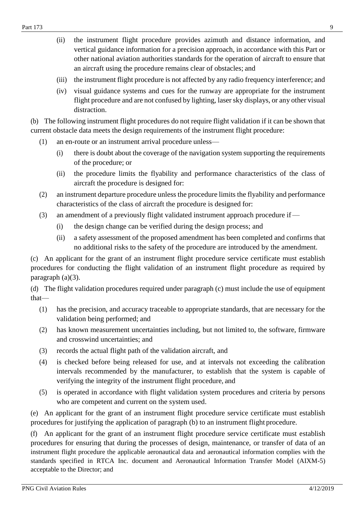- (iii) the instrument flight procedure is not affected by any radio frequency interference; and
- (iv) visual guidance systems and cues for the runway are appropriate for the instrument flight procedure and are not confused by lighting, laser sky displays, or any other visual distraction.

(b) The following instrument flight procedures do not require flight validation if it can be shown that current obstacle data meets the design requirements of the instrument flight procedure:

- (1) an en-route or an instrument arrival procedure unless—
	- (i) there is doubt about the coverage of the navigation system supporting the requirements of the procedure; or
	- (ii) the procedure limits the flyability and performance characteristics of the class of aircraft the procedure is designed for:
- (2) an instrument departure procedure unless the procedure limits the flyability and performance characteristics of the class of aircraft the procedure is designed for:
- (3) an amendment of a previously flight validated instrument approach procedure if—
	- (i) the design change can be verified during the design process; and
	- (ii) a safety assessment of the proposed amendment has been completed and confirms that no additional risks to the safety of the procedure are introduced by the amendment.

(c) An applicant for the grant of an instrument flight procedure service certificate must establish procedures for conducting the flight validation of an instrument flight procedure as required by paragraph (a)(3).

(d) The flight validation procedures required under paragraph (c) must include the use of equipment that—

- (1) has the precision, and accuracy traceable to appropriate standards, that are necessary for the validation being performed; and
- (2) has known measurement uncertainties including, but not limited to, the software, firmware and crosswind uncertainties; and
- (3) records the actual flight path of the validation aircraft, and
- (4) is checked before being released for use, and at intervals not exceeding the calibration intervals recommended by the manufacturer, to establish that the system is capable of verifying the integrity of the instrument flight procedure, and
- (5) is operated in accordance with flight validation system procedures and criteria by persons who are competent and current on the system used.

(e) An applicant for the grant of an instrument flight procedure service certificate must establish procedures for justifying the application of paragraph (b) to an instrument flight procedure.

(f) An applicant for the grant of an instrument flight procedure service certificate must establish procedures for ensuring that during the processes of design, maintenance, or transfer of data of an instrument flight procedure the applicable aeronautical data and aeronautical information complies with the standards specified in RTCA Inc. document and Aeronautical Information Transfer Model (AIXM-5) acceptable to the Director; and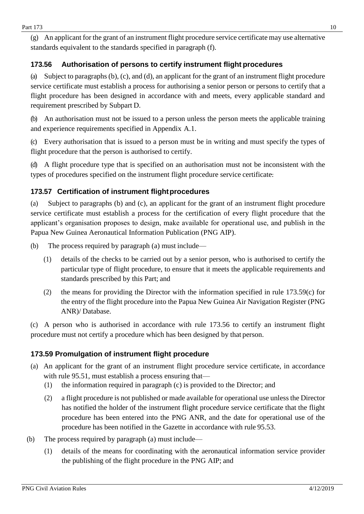(g) An applicant for the grant of an instrument flight procedure service certificate may use alternative standards equivalent to the standards specified in paragraph (f).

## <span id="page-9-0"></span>**173.56 Authorisation of persons to certify instrument flight procedures**

(a) Subject to paragraphs (b), (c), and (d), an applicant for the grant of an instrument flight procedure service certificate must establish a process for authorising a senior person or persons to certify that a flight procedure has been designed in accordance with and meets, every applicable standard and requirement prescribed by Subpart D.

(b) An authorisation must not be issued to a person unless the person meets the applicable training and experience requirements specified in Appendix A.1.

(c) Every authorisation that is issued to a person must be in writing and must specify the types of flight procedure that the person is authorised to certify.

(d) A flight procedure type that is specified on an authorisation must not be inconsistent with the types of procedures specified on the instrument flight procedure service certificate.

## <span id="page-9-1"></span>**173.57 Certification of instrument flightprocedures**

(a) Subject to paragraphs (b) and (c), an applicant for the grant of an instrument flight procedure service certificate must establish a process for the certification of every flight procedure that the applicant's organisation proposes to design, make available for operational use, and publish in the Papua New Guinea Aeronautical Information Publication (PNG AIP).

- (b) The process required by paragraph (a) must include—
	- (1) details of the checks to be carried out by a senior person, who is authorised to certify the particular type of flight procedure, to ensure that it meets the applicable requirements and standards prescribed by this Part; and
	- (2) the means for providing the Director with the information specified in rule 173.59(c) for the entry of the flight procedure into the Papua New Guinea Air Navigation Register (PNG ANR)/ Database.

(c) A person who is authorised in accordance with rule 173.56 to certify an instrument flight procedure must not certify a procedure which has been designed by that person.

## <span id="page-9-2"></span>**173.59 Promulgation of instrument flight procedure**

- (a) An applicant for the grant of an instrument flight procedure service certificate, in accordance with rule 95.51, must establish a process ensuring that—
	- (1) the information required in paragraph (c) is provided to the Director; and
	- (2) a flight procedure is not published or made available for operational use unless the Director has notified the holder of the instrument flight procedure service certificate that the flight procedure has been entered into the PNG ANR, and the date for operational use of the procedure has been notified in the Gazette in accordance with rule 95.53.
- (b) The process required by paragraph (a) must include—
	- (1) details of the means for coordinating with the aeronautical information service provider the publishing of the flight procedure in the PNG AIP; and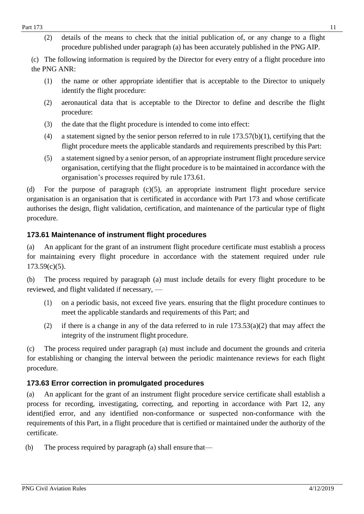(2) details of the means to check that the initial publication of, or any change to a flight procedure published under paragraph (a) has been accurately published in the PNG AIP.

(c) The following information is required by the Director for every entry of a flight procedure into the PNG ANR:

- (1) the name or other appropriate identifier that is acceptable to the Director to uniquely identify the flight procedure:
- (2) aeronautical data that is acceptable to the Director to define and describe the flight procedure:
- (3) the date that the flight procedure is intended to come into effect:
- (4) a statement signed by the senior person referred to in rule 173.57(b)(1), certifying that the flight procedure meets the applicable standards and requirements prescribed by this Part:
- (5) a statement signed by a senior person, of an appropriate instrument flight procedure service organisation, certifying that the flight procedure is to be maintained in accordance with the organisation's processes required by rule 173.61.

(d) For the purpose of paragraph (c)(5), an appropriate instrument flight procedure service organisation is an organisation that is certificated in accordance with Part 173 and whose certificate authorises the design, flight validation, certification, and maintenance of the particular type of flight procedure.

## <span id="page-10-0"></span>**173.61 Maintenance of instrument flight procedures**

(a) An applicant for the grant of an instrument flight procedure certificate must establish a process for maintaining every flight procedure in accordance with the statement required under rule 173.59(c)(5).

(b) The process required by paragraph (a) must include details for every flight procedure to be reviewed, and flight validated if necessary, —

- (1) on a periodic basis, not exceed five years. ensuring that the flight procedure continues to meet the applicable standards and requirements of this Part; and
- (2) if there is a change in any of the data referred to in rule  $173.53(a)(2)$  that may affect the integrity of the instrument flight procedure.

(c) The process required under paragraph (a) must include and document the grounds and criteria for establishing or changing the interval between the periodic maintenance reviews for each flight procedure.

## <span id="page-10-1"></span>**173.63 Error correction in promulgated procedures**

(a) An applicant for the grant of an instrument flight procedure service certificate shall establish a process for recording, investigating, correcting, and reporting in accordance with Part 12, any identified error, and any identified non-conformance or suspected non-conformance with the requirements of this Part, in a flight procedure that is certified or maintained under the authority of the certificate.

(b) The process required by paragraph (a) shall ensure that—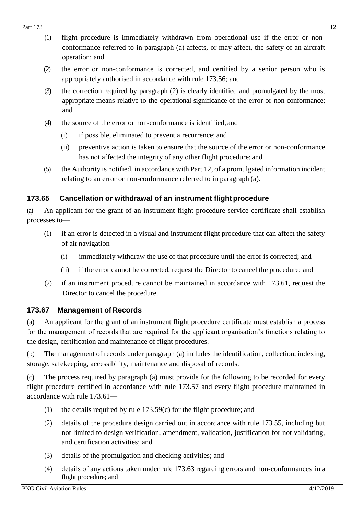- (2) the error or non-conformance is corrected, and certified by a senior person who is appropriately authorised in accordance with rule 173.56; and
- (3) the correction required by paragraph (2) is clearly identified and promulgated by the most appropriate means relative to the operational significance of the error or non-conformance; and
- (4) the source of the error or non-conformance is identified, and—
	- (i) if possible, eliminated to prevent a recurrence; and
	- (ii) preventive action is taken to ensure that the source of the error or non-conformance has not affected the integrity of any other flight procedure; and
- (5) the Authority is notified, in accordance with Part 12, of a promulgated information incident relating to an error or non-conformance referred to in paragraph (a).

## <span id="page-11-0"></span>**173.65 Cancellation or withdrawal of an instrument flight procedure**

(a) An applicant for the grant of an instrument flight procedure service certificate shall establish processes to—

- (1) if an error is detected in a visual and instrument flight procedure that can affect the safety of air navigation—
	- (i) immediately withdraw the use of that procedure until the error is corrected; and
	- (ii) if the error cannot be corrected, request the Director to cancel the procedure; and
- (2) if an instrument procedure cannot be maintained in accordance with 173.61, request the Director to cancel the procedure.

## <span id="page-11-1"></span>**173.67 Management of Records**

(a) An applicant for the grant of an instrument flight procedure certificate must establish a process for the management of records that are required for the applicant organisation's functions relating to the design, certification and maintenance of flight procedures.

(b) The management of records under paragraph (a) includes the identification, collection, indexing, storage, safekeeping, accessibility, maintenance and disposal of records.

(c) The process required by paragraph (a) must provide for the following to be recorded for every flight procedure certified in accordance with rule 173.57 and every flight procedure maintained in accordance with rule 173.61—

- (1) the details required by rule 173.59(c) for the flight procedure; and
- (2) details of the procedure design carried out in accordance with rule 173.55, including but not limited to design verification, amendment, validation, justification for not validating, and certification activities; and
- (3) details of the promulgation and checking activities; and
- (4) details of any actions taken under rule 173.63 regarding errors and non-conformances in a flight procedure; and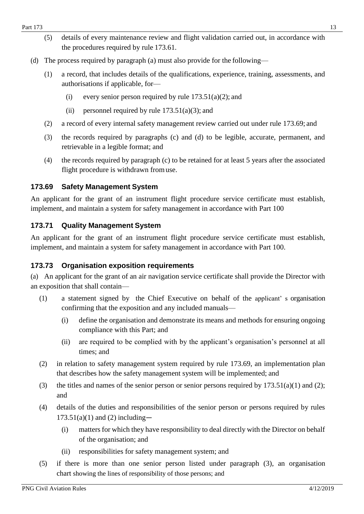- (5) details of every maintenance review and flight validation carried out, in accordance with the procedures required by rule 173.61.
- (d) The process required by paragraph (a) must also provide for the following—
	- (1) a record, that includes details of the qualifications, experience, training, assessments, and authorisations if applicable, for—
		- (i) every senior person required by rule  $173.51(a)(2)$ ; and
		- (ii) personnel required by rule  $173.51(a)(3)$ ; and
	- (2) a record of every internal safety management review carried out under rule 173.69; and
	- (3) the records required by paragraphs (c) and (d) to be legible, accurate, permanent, and retrievable in a legible format; and
	- (4) the records required by paragraph (c) to be retained for at least 5 years after the associated flight procedure is withdrawn fromuse.

### <span id="page-12-0"></span>**173.69 Safety Management System**

An applicant for the grant of an instrument flight procedure service certificate must establish, implement, and maintain a system for safety management in accordance with Part 100

### <span id="page-12-1"></span>**173.71 Quality Management System**

An applicant for the grant of an instrument flight procedure service certificate must establish, implement, and maintain a system for safety management in accordance with Part 100.

### <span id="page-12-2"></span>**173.73 Organisation exposition requirements**

(a) An applicant for the grant of an air navigation service certificate shall provide the Director with an exposition that shall contain—

- (1) a statement signed by the Chief Executive on behalf of the applicant' s organisation confirming that the exposition and any included manuals—
	- (i) define the organisation and demonstrate its means and methods for ensuring ongoing compliance with this Part; and
	- (ii) are required to be complied with by the applicant's organisation's personnel at all times; and
- (2) in relation to safety management system required by rule 173.69, an implementation plan that describes how the safety management system will be implemented; and
- (3) the titles and names of the senior person or senior persons required by  $173.51(a)(1)$  and (2); and
- (4) details of the duties and responsibilities of the senior person or persons required by rules  $173.51(a)(1)$  and (2) including-
	- (i) matters for which they have responsibility to deal directly with the Director on behalf of the organisation; and
	- (ii) responsibilities for safety management system; and
- (5) if there is more than one senior person listed under paragraph (3), an organisation chart showing the lines of responsibility of those persons; and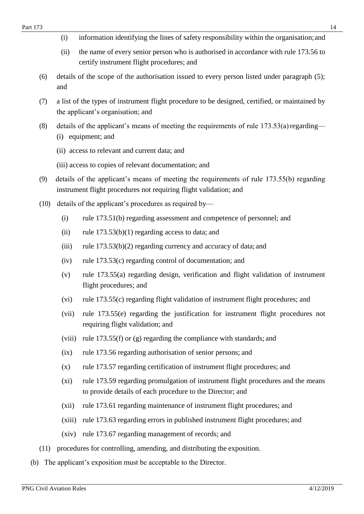- (i) information identifying the lines of safety responsibility within the organisation;and
- (ii) the name of every senior person who is authorised in accordance with rule 173.56 to certify instrument flight procedures; and
- (6) details of the scope of the authorisation issued to every person listed under paragraph (5); and
- (7) a list of the types of instrument flight procedure to be designed, certified, or maintained by the applicant's organisation; and
- (8) details of the applicant's means of meeting the requirements of rule  $173.53(a)$  regarding— (i) equipment; and
	- (ii) access to relevant and current data; and
	- (iii) access to copies of relevant documentation; and
- (9) details of the applicant's means of meeting the requirements of rule 173.55(b) regarding instrument flight procedures not requiring flight validation; and
- (10) details of the applicant's procedures as required by—
	- (i) rule 173.51(b) regarding assessment and competence of personnel; and
	- (ii) rule  $173.53(b)(1)$  regarding access to data; and
	- (iii) rule 173.53(b)(2) regarding currency and accuracy of data; and
	- (iv) rule 173.53(c) regarding control of documentation; and
	- (v) rule 173.55(a) regarding design, verification and flight validation of instrument flight procedures; and
	- (vi) rule 173.55(c) regarding flight validation of instrument flight procedures; and
	- (vii) rule 173.55(e) regarding the justification for instrument flight procedures not requiring flight validation; and
	- (viii) rule 173.55(f) or (g) regarding the compliance with standards; and
	- (ix) rule 173.56 regarding authorisation of senior persons; and
	- (x) rule 173.57 regarding certification of instrument flight procedures; and
	- (xi) rule 173.59 regarding promulgation of instrument flight procedures and the means to provide details of each procedure to the Director; and
	- (xii) rule 173.61 regarding maintenance of instrument flight procedures; and
	- (xiii) rule 173.63 regarding errors in published instrument flight procedures; and
	- (xiv) rule 173.67 regarding management of records; and
- (11) procedures for controlling, amending, and distributing the exposition.
- (b) The applicant's exposition must be acceptable to the Director.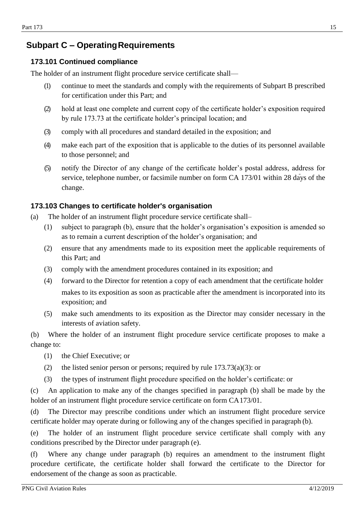## <span id="page-14-1"></span><span id="page-14-0"></span>**Subpart C – OperatingRequirements**

### **173.101 Continued compliance**

The holder of an instrument flight procedure service certificate shall—

- (1) continue to meet the standards and comply with the requirements of Subpart B prescribed for certification under this Part; and
- (2) hold at least one complete and current copy of the certificate holder's exposition required by rule 173.73 at the certificate holder's principal location; and
- (3) comply with all procedures and standard detailed in the exposition; and
- (4) make each part of the exposition that is applicable to the duties of its personnel available to those personnel; and
- (5) notify the Director of any change of the certificate holder's postal address, address for service, telephone number, or facsimile number on form CA 173/01 within 28 days of the change.

## <span id="page-14-2"></span>**173.103 Changes to certificate holder's organisation**

- (a) The holder of an instrument flight procedure service certificate shall–
	- (1) subject to paragraph (b), ensure that the holder's organisation's exposition is amended so as to remain a current description of the holder's organisation; and
	- (2) ensure that any amendments made to its exposition meet the applicable requirements of this Part; and
	- (3) comply with the amendment procedures contained in its exposition; and
	- (4) forward to the Director for retention a copy of each amendment that the certificate holder makes to its exposition as soon as practicable after the amendment is incorporated into its exposition; and
	- (5) make such amendments to its exposition as the Director may consider necessary in the interests of aviation safety.

(b) Where the holder of an instrument flight procedure service certificate proposes to make a change to:

- (1) the Chief Executive; or
- (2) the listed senior person or persons; required by rule  $173.73(a)(3)$ : or
- (3) the types of instrument flight procedure specified on the holder's certificate: or

(c) An application to make any of the changes specified in paragraph (b) shall be made by the holder of an instrument flight procedure service certificate on form CA173/01.

(d) The Director may prescribe conditions under which an instrument flight procedure service certificate holder may operate during or following any of the changes specified in paragraph (b).

(e) The holder of an instrument flight procedure service certificate shall comply with any conditions prescribed by the Director under paragraph (e).

(f) Where any change under paragraph (b) requires an amendment to the instrument flight procedure certificate, the certificate holder shall forward the certificate to the Director for endorsement of the change as soon as practicable.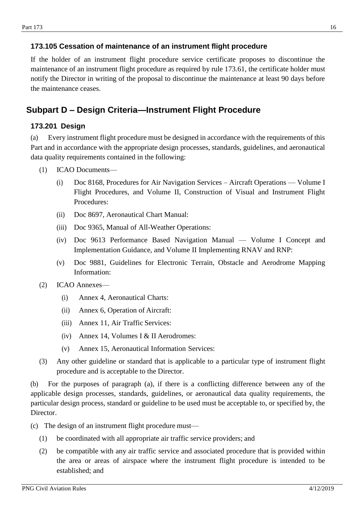### <span id="page-15-0"></span>**173.105 Cessation of maintenance of an instrument flight procedure**

If the holder of an instrument flight procedure service certificate proposes to discontinue the maintenance of an instrument flight procedure as required by rule 173.61, the certificate holder must notify the Director in writing of the proposal to discontinue the maintenance at least 90 days before the maintenance ceases.

## <span id="page-15-2"></span><span id="page-15-1"></span>**Subpart D – Design Criteria—Instrument Flight Procedure**

### **173.201 Design**

(a) Every instrument flight procedure must be designed in accordance with the requirements of this Part and in accordance with the appropriate design processes, standards, guidelines, and aeronautical data quality requirements contained in the following:

- (1) ICAO Documents—
	- (i) Doc 8168, Procedures for Air Navigation Services Aircraft Operations Volume I Flight Procedures, and Volume II, Construction of Visual and Instrument Flight Procedures:
	- (ii) Doc 8697, Aeronautical Chart Manual:
	- (iii) Doc 9365, Manual of All-Weather Operations:
	- (iv) Doc 9613 Performance Based Navigation Manual Volume I Concept and Implementation Guidance, and Volume II Implementing RNAV and RNP:
	- (v) Doc 9881, Guidelines for Electronic Terrain, Obstacle and Aerodrome Mapping Information:
- (2) ICAO Annexes—
	- (i) Annex 4, Aeronautical Charts:
	- (ii) Annex 6, Operation of Aircraft:
	- (iii) Annex 11, Air Traffic Services:
	- (iv) Annex 14, Volumes I & II Aerodromes:
	- (v) Annex 15, Aeronautical Information Services:
- (3) Any other guideline or standard that is applicable to a particular type of instrument flight procedure and is acceptable to the Director.

(b) For the purposes of paragraph (a), if there is a conflicting difference between any of the applicable design processes, standards, guidelines, or aeronautical data quality requirements, the particular design process, standard or guideline to be used must be acceptable to, or specified by, the Director.

- (c) The design of an instrument flight procedure must—
	- (1) be coordinated with all appropriate air traffic service providers; and
	- (2) be compatible with any air traffic service and associated procedure that is provided within the area or areas of airspace where the instrument flight procedure is intended to be established; and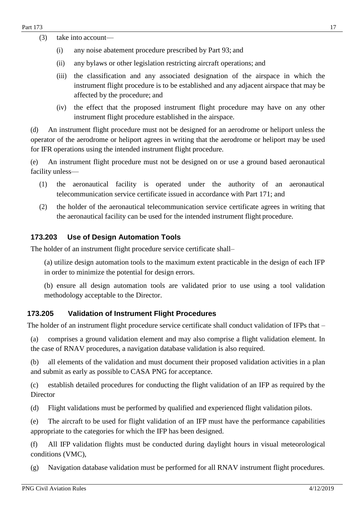- (3) take into account—
	- (i) any noise abatement procedure prescribed by Part 93; and
	- (ii) any bylaws or other legislation restricting aircraft operations; and
	- (iii) the classification and any associated designation of the airspace in which the instrument flight procedure is to be established and any adjacent airspace that may be affected by the procedure; and
	- (iv) the effect that the proposed instrument flight procedure may have on any other instrument flight procedure established in the airspace.

(d) An instrument flight procedure must not be designed for an aerodrome or heliport unless the operator of the aerodrome or heliport agrees in writing that the aerodrome or heliport may be used for IFR operations using the intended instrument flight procedure.

(e) An instrument flight procedure must not be designed on or use a ground based aeronautical facility unless—

- (1) the aeronautical facility is operated under the authority of an aeronautical telecommunication service certificate issued in accordance with Part 171; and
- (2) the holder of the aeronautical telecommunication service certificate agrees in writing that the aeronautical facility can be used for the intended instrument flight procedure.

### <span id="page-16-0"></span>**173.203 Use of Design Automation Tools**

The holder of an instrument flight procedure service certificate shall–

(a) utilize design automation tools to the maximum extent practicable in the design of each IFP in order to minimize the potential for design errors.

(b) ensure all design automation tools are validated prior to use using a tool validation methodology acceptable to the Director.

#### <span id="page-16-1"></span>**173.205 Validation of Instrument Flight Procedures**

The holder of an instrument flight procedure service certificate shall conduct validation of IFPs that –

(a) comprises a ground validation element and may also comprise a flight validation element. In the case of RNAV procedures, a navigation database validation is also required.

(b) all elements of the validation and must document their proposed validation activities in a plan and submit as early as possible to CASA PNG for acceptance.

(c) establish detailed procedures for conducting the flight validation of an IFP as required by the Director

(d) Flight validations must be performed by qualified and experienced flight validation pilots.

(e) The aircraft to be used for flight validation of an IFP must have the performance capabilities appropriate to the categories for which the IFP has been designed.

(f) All IFP validation flights must be conducted during daylight hours in visual meteorological conditions (VMC),

(g) Navigation database validation must be performed for all RNAV instrument flight procedures.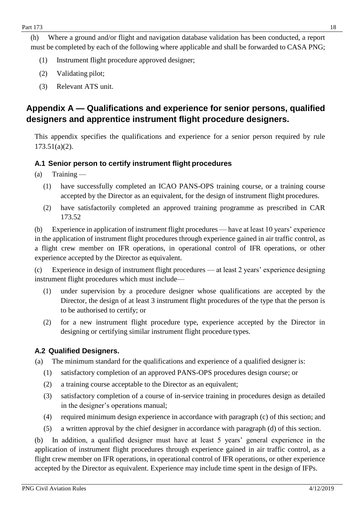(h) Where a ground and/or flight and navigation database validation has been conducted, a report must be completed by each of the following where applicable and shall be forwarded to CASA PNG;

- (1) Instrument flight procedure approved designer;
- (2) Validating pilot;
- (3) Relevant ATS unit.

# <span id="page-17-0"></span>**Appendix A — Qualifications and experience for senior persons, qualified designers and apprentice instrument flight procedure designers.**

This appendix specifies the qualifications and experience for a senior person required by rule 173.51(a)(2).

## <span id="page-17-1"></span>**A.1 Senior person to certify instrument flight procedures**

- (a) Training
	- (1) have successfully completed an ICAO PANS-OPS training course, or a training course accepted by the Director as an equivalent, for the design of instrument flight procedures.
	- (2) have satisfactorily completed an approved training programme as prescribed in CAR 173.52

(b) Experience in application of instrument flight procedures — have at least 10 years' experience in the application of instrument flight procedures through experience gained in air traffic control, as a flight crew member on IFR operations, in operational control of IFR operations, or other experience accepted by the Director as equivalent.

(c) Experience in design of instrument flight procedures — at least 2 years' experience designing instrument flight procedures which must include—

- (1) under supervision by a procedure designer whose qualifications are accepted by the Director, the design of at least 3 instrument flight procedures of the type that the person is to be authorised to certify; or
- (2) for a new instrument flight procedure type, experience accepted by the Director in designing or certifying similar instrument flight procedure types.

## <span id="page-17-2"></span>**A.2 Qualified Designers.**

(a) The minimum standard for the qualifications and experience of a qualified designer is:

- (1) satisfactory completion of an approved PANS-OPS procedures design course; or
- (2) a training course acceptable to the Director as an equivalent;
- (3) satisfactory completion of a course of in-service training in procedures design as detailed in the designer's operations manual;
- (4) required minimum design experience in accordance with paragraph (c) of this section; and
- (5) a written approval by the chief designer in accordance with paragraph (d) of this section.

(b) In addition, a qualified designer must have at least 5 years' general experience in the application of instrument flight procedures through experience gained in air traffic control, as a flight crew member on IFR operations, in operational control of IFR operations, or other experience accepted by the Director as equivalent. Experience may include time spent in the design of IFPs.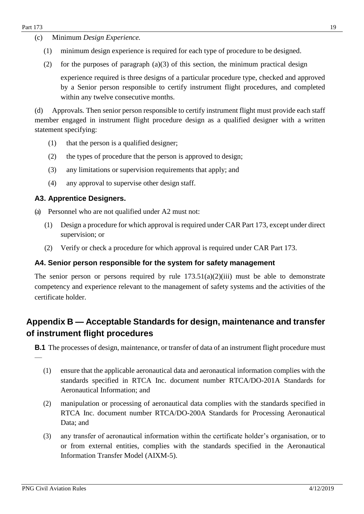- (c) Minimum *Design Experience.*
	- (1) minimum design experience is required for each type of procedure to be designed.
	- (2) for the purposes of paragraph  $(a)(3)$  of this section, the minimum practical design experience required is three designs of a particular procedure type, checked and approved by a Senior person responsible to certify instrument flight procedures, and completed within any twelve consecutive months.

(d) Approvals*.* Then senior person responsible to certify instrument flight must provide each staff member engaged in instrument flight procedure design as a qualified designer with a written statement specifying:

- (1) that the person is a qualified designer;
- (2) the types of procedure that the person is approved to design;
- (3) any limitations or supervision requirements that apply; and
- (4) any approval to supervise other design staff.

## <span id="page-18-0"></span>**A3. Apprentice Designers.**

(a) Personnel who are not qualified under A2 must not:

- (1) Design a procedure for which approval is required under CAR Part 173, except under direct supervision; or
- (2) Verify or check a procedure for which approval is required under CAR Part 173.

## <span id="page-18-1"></span>**A4. Senior person responsible for the system for safety management**

The senior person or persons required by rule  $173.51(a)(2)(iii)$  must be able to demonstrate competency and experience relevant to the management of safety systems and the activities of the certificate holder.

# <span id="page-18-2"></span>**Appendix B — Acceptable Standards for design, maintenance and transfer of instrument flight procedures**

**B.1** The processes of design, maintenance, or transfer of data of an instrument flight procedure must

- (1) ensure that the applicable aeronautical data and aeronautical information complies with the standards specified in RTCA Inc. document number RTCA/DO-201A Standards for Aeronautical Information; and
- (2) manipulation or processing of aeronautical data complies with the standards specified in RTCA Inc. document number RTCA/DO-200A Standards for Processing Aeronautical Data; and
- (3) any transfer of aeronautical information within the certificate holder's organisation, or to or from external entities, complies with the standards specified in the Aeronautical Information Transfer Model (AIXM-5).

—